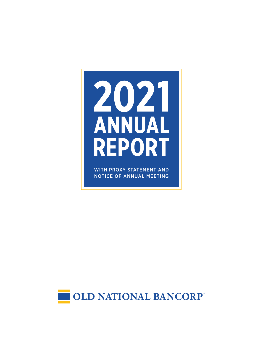# 2021 ANNUAL **REPORT**

WITH PROXY STATEMENT AND NOTICE OF ANNUAL MEETING

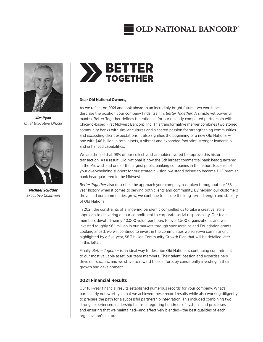## **OLD NATIONAL BANCORP**



*Jim Ryan Chief Executive Officer*



*Michael Scudder Executive Chairman*



#### **Dear Old National Owners,**

As we reflect on 2021 and look ahead to an incredibly bright future, two words best describe the position your company finds itself in: *Better Together*. A simple yet powerful mantra, Better Together defines the rationale for our recently completed partnership with Chicago-based First Midwest Bancorp, Inc. This transformative merger combines two storied community banks with similar cultures and a shared passion for strengthening communities and exceeding client expectations. It also signifies the beginning of a new Old National one with \$46 billion in total assets, a vibrant and expanded footprint, stronger leadership and enhanced capabilities.

We are thrilled that 98% of our collective shareholders voted to approve this historic transaction. As a result, Old National is now the 6th largest commercial bank headquartered in the Midwest and one of the largest public banking companies in the nation. Because of your overwhelming support for our strategic vision, we stand poised to become THE premier bank headquartered in the Midwest.

*Better Together* also describes the approach your company has taken throughout our 188 year history when it comes to serving both clients and community. By helping our customers thrive and our communities grow, we continue to ensure the long-term strength and stability of Old National.

In 2021, the constraints of a lingering pandemic compelled us to take a creative, agile approach to delivering on our commitment to corporate social responsibility. Our team members devoted nearly 40,000 volunteer hours to over 1,500 organizations, and we invested roughly \$6.1 million in our markets through sponsorships and Foundation grants. Looking ahead, we will continue to invest in the communities we serve—a commitment highlighted by a five-year, \$8.3 billion Community Growth Plan that will be detailed later in this letter.

Finally, *Better Together* is an ideal way to describe Old National's continuing commitment to our most valuable asset: our team members. Their talent, passion and expertise help drive our success, and we strive to reward these efforts by consistently investing in their growth and development.

#### **2021 Financial Results**

Our full-year financial results established numerous records for your company. What's particularly noteworthy is that we achieved these record results while also working diligently to prepare the path for a successful partnership integration. This included combining two strong, experienced leadership teams, integrating hundreds of systems and processes, and ensuring that we maintained—and effectively blended—the best qualities of each organization's culture.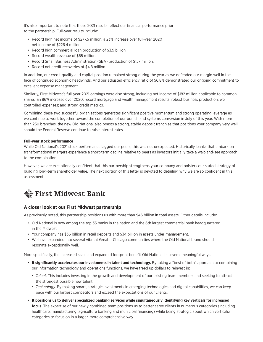It's also important to note that these 2021 results reflect our financial performance prior to the partnership. Full-year results include:

- Record high net income of \$277.5 million, a 23% increase over full-year 2020 net income of \$226.4 million.
- Record high commercial loan production of \$3.9 billion.
- Record wealth revenue of \$65 million.
- Record Small Business Administration (SBA) production of \$157 million.
- Record net credit recoveries of \$4.8 million.

In addition, our credit quality and capital position remained strong during the year as we defended our margin well in the face of continued economic headwinds. And our adjusted efficiency ratio of 56.8% demonstrated our ongoing commitment to excellent expense management.

Similarly, First Midwest's full-year 2021 earnings were also strong, including net income of \$182 million applicable to common shares, an 86% increase over 2020; record mortgage and wealth management results; robust business production; well controlled expenses; and strong credit metrics.

Combining these two successful organizations generates significant positive momentum and strong operating leverage as we continue to work together toward the completion of our branch and systems conversion in July of this year. With more than 250 branches, the new Old National also boasts a strong, stable deposit franchise that positions your company very well should the Federal Reserve continue to raise interest rates.

#### **Full-year stock performance**

While Old National's 2021 stock performance lagged our peers, this was not unexpected. Historically, banks that embark on transformational mergers experience a short-term decline relative to peers as investors initially take a wait-and-see approach to the combination.

However, we are exceptionally confident that this partnership strengthens your company and bolsters our stated strategy of building long-term shareholder value. The next portion of this letter is devoted to detailing why we are so confident in this assessment.

### **First Midwest Bank**

#### **A closer look at our First Midwest partnership**

As previously noted, this partnership positions us with more than \$46 billion in total assets. Other details include:

- Old National is now among the top 35 banks in the nation and the 6th largest commercial bank headquartered in the Midwest.
- Your company has \$36 billion in retail deposits and \$34 billion in assets under management.
- We have expanded into several vibrant Greater Chicago communities where the Old National brand should resonate exceptionally well.

More specifically, the increased scale and expanded footprint benefit Old National in several meaningful ways.

- **It significantly accelerates our investments in talent and technology.** By taking a "best of both" approach to combining our information technology and operations functions, we have freed up dollars to reinvest in:
	- *Talent.* This includes investing in the growth and development of our existing team members and seeking to attract the strongest possible new talent.
	- *Technology.* By making smart, strategic investments in emerging technologies and digital capabilities, we can keep pace with our largest competitors and exceed the expectations of our clients.
- **It positions us to deliver specialized banking services while simultaneously identifying key verticals for increased focus.** The expertise of our newly combined team positions us to better serve clients in numerous categories (including healthcare, manufacturing, agriculture banking and municipal financing) while being strategic about which verticals/ categories to focus on in a larger, more comprehensive way.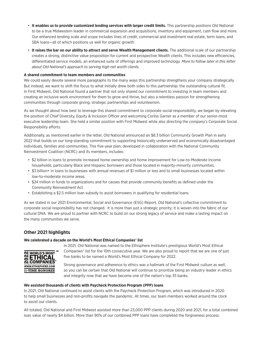- **It enables us to provide customized lending services with larger credit limits.** This partnership positions Old National to be a true Midwestern leader in commercial expansion and acquisitions, inventory and equipment, cash flow and more. Our enhanced lending scale and scope includes lines of credit, commercial and investment real estate, term loans, and SBA loans—all of which positions us well for organic growth.
- **It raises the bar on our ability to attract and serve Wealth Management clients.** The additional scale of our partnership creates a strong, distinctive value proposition for current and prospective Wealth clients. This includes new efficiencies, differentiated service models, an enhanced suite of offerings and improved technology. *More to follow later in this letter about Old National's approach to serving high net worth clients.*

#### **A shared commitment to team members and communities**

We could easily devote several more paragraphs to the many ways this partnership strengthens your company strategically. But instead, we want to shift the focus to what initially drew both sides to this partnership: the outstanding cultural fit. In First Midwest, Old National found a partner that not only shared our commitment to investing in team members and creating an inclusive work environment for them to grow and thrive, but also a relentless passion for strengthening communities through corporate giving, strategic partnerships and volunteerism.

As we thought about how best to leverage this shared commitment to corporate social responsibility, we began by elevating the position of Chief Diversity, Equity & Inclusion Officer and welcoming Corliss Garner as a member of our senior-most executive leadership team. She held a similar position with First Midwest while also directing the company's Corporate Social Responsibility efforts.

Additionally, as mentioned earlier in the letter, Old National announced an \$8.3 billion Community Growth Plan in early 2022 that builds on our long-standing commitment to supporting historically underserved and economically disadvantaged individuals, families and communities. This five-year plan, developed in collaboration with the National Community Reinvestment Coalition (NCRC) and its members, includes:

- \$2 billion in loans to promote increased home ownership and home improvement for Low-to-Moderate Income households, particularly Black and Hispanic borrowers and those located in majority-minority communities.
- \$3 billion+ in loans to businesses with annual revenues of \$1 million or less and to small businesses located within low-to-moderate income areas.
- \$24 million in funds to organizations and for causes that provide community benefits as defined under the Community Reinvestment Act.
- Establishing a \$2.5 million loan subsidy to assist borrowers in qualifying for residential loans.

As we stated in our 2021 Environmental, Social and Governance (ESG) Report, Old National's collective commitment to corporate social responsibility has not changed. It is more than just a strategic priority; it is woven into the fabric of our cultural DNA. We are proud to partner with NCRC to build on our strong legacy of service and make a lasting impact on the many communities we serve.

#### **Other 2021 highlights**

#### **We celebrated a decade on the World's Most Ethical Companies® list**



In 2021, Old National was named to the Ethisphere Institute's prestigious World's Most Ethical Companies® list for the 10th consecutive year. We are also proud to report that we are one of just five banks to be named a World's Most Ethical Company for 2022.

Strong governance and adherence to ethics was a hallmark of the First Midwest culture as well, so you can be certain that Old National will continue to prioritize being an industry leader in ethics and integrity now that we have become one of the nation's top 35 banks.

#### **We assisted thousands of clients with Paycheck Protection Program (PPP) loans**

In 2021, Old National continued to assist clients with the Paycheck Protection Program, which was introduced in 2020 to help small businesses and non-profits navigate the pandemic. At times, our team members worked around the clock to assist our clients.

All totaled, Old National and First Midwest assisted more than 23,000 PPP clients during 2020 and 2021, for a total combined loan value of nearly \$4 billion. More than 90% of our combined PPP loans have completed the forgiveness process.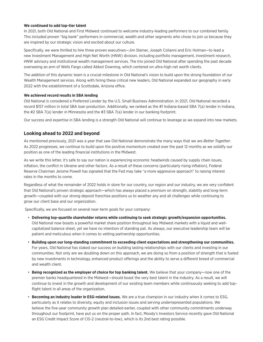#### **We continued to add top-tier talent**

In 2021, both Old National and First Midwest continued to welcome industry-leading performers to our combined family. This included proven "big bank" performers in commercial, wealth and other segments who chose to join us because they are inspired by our strategic vision and excited about our culture.

Specifically, we were thrilled to hire three proven executives—Jim Steiner, Joseph Colianni and Eric Holman—to lead a new Investment Management and High Net Worth (HNW) division, including portfolio management, investment research, HNW advisory and institutional wealth management services. The trio joined Old National after spending the past decade overseeing an arm of Wells Fargo called Abbot Downing, which centered on ultra-high net worth clients.

The addition of this dynamic team is a crucial milestone in Old National's vision to build upon the strong foundation of our Wealth Management services. Along with hiring these critical new leaders, Old National expanded our geography in early 2022 with the establishment of a Scottsdale, Arizona office.

#### **We achieved record results in SBA lending**

Old National is considered a Preferred Lender by the U.S. Small Business Administration. In 2021, Old National recorded a record \$157 million in total SBA loan production. Additionally, we ranked as the #1 Indiana-based SBA 7(a) lender in Indiana, the #2 SBA 7(a) lender in Minnesota and the #3 SBA 7(a) lender in our banking footprint.

Our success and expertise in SBA lending is a strength Old National will continue to leverage as we expand into new markets.

#### **Looking ahead to 2022 and beyond**

As mentioned previously, 2021 was a year that saw Old National demonstrate the many ways that we are *Better Together*. As 2022 progresses, we continue to build upon the positive momentum created over the past 12 months as we solidify our position as one of the leading financial institutions in the Midwest.

As we write this letter, it's safe to say our nation is experiencing economic headwinds caused by supply chain issues, inflation, the conflict in Ukraine and other factors. As a result of these concerns (particularly rising inflation), Federal Reserve Chairman Jerome Powell has signaled that the Fed may take "a more aggressive approach" to raising interest rates in the months to come.

Regardless of what the remainder of 2022 holds in store for our country, our region and our industry, we are very confident that Old National's proven strategic approach—which has always placed a premium on strength, stability and long-term growth—coupled with our strong deposit franchise positions us to weather any and all challenges while continuing to grow our client base and our organization.

Specifically, we are focused on several near-term goals for your company:

- **Delivering top-quartile shareholder returns while continuing to seek strategic growth/expansion opportunities.** Old National now boasts a powerful market share position throughout key Midwest markets with a liquid and wellcapitalized balance sheet, yet we have no intention of standing pat. As always, our executive leadership team will be patient and meticulous when it comes to vetting partnership opportunities.
- **Building upon our long-standing commitment to exceeding client expectations and strengthening our communities.** For years, Old National has staked our success on building lasting relationships with our clients and investing in our communities. Not only are we doubling down on this approach, we are doing so from a position of strength that is fueled by new investments in technology, enhanced product offerings and the ability to serve a different breed of commercial and wealth client.
- **Being recognized as the employer of choice for top banking talent.** We believe that your company—now one of the premier banks headquartered in the Midwest—should boast the very best talent in the industry. As a result, we will continue to invest in the growth and development of our existing team members while continuously seeking to add topflight talent in all areas of the organization.
- **Becoming an industry leader in ESG-related issues.** We are a true champion in our industry when it comes to ESG, particularly as it relates to diversity, equity and inclusion issues and serving underrepresented populations. We believe the five-year community growth plan detailed earlier, coupled with other community commitments underway throughout our footprint, have put us on the proper path. In fact, Moody's Investors Service recently gave Old National an ESG Credit Impact Score of CIS-2 (neutral-to-low), which is its 2nd best rating possible.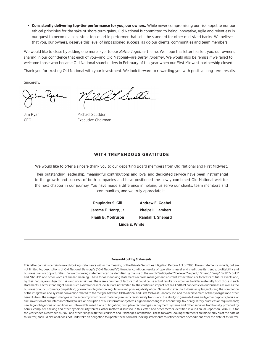• **Consistently delivering top-tier performance for you, our owners.** While never compromising our risk appetite nor our ethical principles for the sake of short-term gains, Old National is committed to being innovative, agile and relentless in our quest to become a consistent top-quartile performer that sets the standard for other mid-sized banks. We believe that you, our owners, deserve this level of impassioned success, as do our clients, communities and team members.

We would like to close by adding one more layer to our *Better Together* theme. We hope this letter has left you, our owners, sharing in our confidence that each of you—and Old National—are *Better Together*. We would also be remiss if we failed to welcome those who became Old National shareholders in February of this year when our First Midwest partnership closed.

Thank you for trusting Old National with your investment. We look forward to rewarding you with positive long-term results.

Sincerely,

22 Suite

Jim Ryan Michael Scudder CEO **Executive Chairman** 

#### **WITH TREMENDOUS GRATITUDE**

We would like to offer a sincere thank you to our departing Board members from Old National and First Midwest.

Their outstanding leadership, meaningful contributions and loyal and dedicated service have been instrumental to the growth and success of both companies and have positioned the newly combined Old National well for the next chapter in our journey. You have made a difference in helping us serve our clients, team members and communities, and we truly appreciate it.

> **Phupinder S. Gill Andrew E. Goebel Jerome F. Henry, Jr. Phelps L. Lambert Frank B. Modruson Randall T. Shepard Linda E. White**

> > **Forward-Looking Statements**

This letter contains certain forward-looking statements within the meaning of the Private Securities Litigation Reform Act of 1995. These statements include, but are not limited to, descriptions of Old National Bancorp's ("Old National's") financial condition, results of operations, asset and credit quality trends, profitability and business plans or opportunities. Forward-looking statements can be identified by the use of the words "anticipate," "believe," "expect," "intend," "may," "will," "could" and "should," and other words of similar meaning. These forward-looking statements express management's current expectations or forecasts of future events and, by their nature, are subject to risks and uncertainties. There are a number of factors that could cause actual results or outcomes to differ materially from those in such statements. Factors that might cause such a difference include, but are not limited to: the continued impact of the COVID-19 pandemic on our business as well as the business of our customers; competition; government legislation, regulations and policies; ability of Old National to execute its business plan, including the completion of the integration and systems conversion related to the merger between Old National and First Midwest Bancorp, Inc. and the achievement of the synergies and other benefits from the merger; changes in the economy which could materially impact credit quality trends and the ability to generate loans and gather deposits; failure or circumvention of our internal controls; failure or disruption of our information systems; significant changes in accounting, tax or regulatory practices or requirements; new legal obligations or liabilities or unfavorable resolutions of litigation; disruptive technologies in payment systems and other services traditionally provided by banks; computer hacking and other cybersecurity threats; other matters discussed in this letter; and other factors identified in our Annual Report on Form 10-K for the year ended December 31, 2021 and other filings with the Securities and Exchange Commission. These forward-looking statements are made only as of the date of this letter, and Old National does not undertake an obligation to update these forward-looking statements to reflect events or conditions after the date of this letter.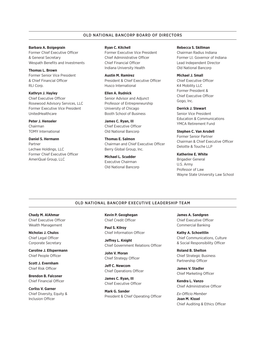#### OLD NATIONAL BANCORP BOARD OF DIRECTORS

#### **Barbara A. Boigegrain**

Former Chief Executive Officer & General Secretary Wespath Benefits and Investments

**Thomas L. Brown** Former Senior Vice President & Chief Financial Officer RLI Corp.

**Kathryn J. Hayley** Chief Executive Officer Rosewood Advisory Services, LLC Former Executive Vice President UnitedHealthcare

**Peter J. Henseler** Chairman TOMY International

**Daniel S. Hermann** Partner Lechwe Holdings, LLC Former Chief Executive Officer AmeriQual Group, LLC

#### **Ryan C. Kitchell**

Former Executive Vice President Chief Administrative Officer Chief Financial Officer Indiana University Health

**Austin M. Ramirez** President & Chief Executive Officer Husco International

**Ellen A. Rudnick** Senior Advisor and Adjunct Professor of Entrepreneurship University of Chicago Booth School of Business

**James C. Ryan, III** Chief Executive Officer Old National Bancorp

**Thomas E. Salmon** Chairman and Chief Executive Officer Berry Global Group, Inc.

**Michael L. Scudder** Executive Chairman Old National Bancorp

#### **Rebecca S. Skillman**

Chairman Radius Indiana Former Lt. Governor of Indiana Lead Independent Director Old National Bancorp

#### **Michael J. Small**

Chief Executive Officer K4 Mobility LLC Former President & Chief Executive Officer Gogo, Inc.

**Derrick J. Stewart**

Senior Vice President Education & Communications YMCA Retirement Fund

**Stephen C. Van Arsdell** Former Senior Partner Chairman & Chief Executive Officer Deloitte & Touche LLP

#### **Katherine E. White**

Brigadier General U.S. Army Professor of Law Wayne State University Law School

#### OLD NATIONAL BANCORP EXECUTIVE LEADERSHIP TEAM

**Chady M. AlAhmar** Chief Executive Officer Wealth Management

**Nicholas J. Chulos** Chief Legal Officer Corporate Secretary

**Caroline J. Ellspermann** Chief People Officer

**Scott J. Evernham** Chief Risk Officer

**Brendon B. Falconer** Chief Financial Officer

**Corliss V. Garner** Chief Diversity, Equity & Inclusion Officer

**Kevin P. Geoghegan** Chief Credit Officer

**Paul S. Kilroy** Chief Information Officer

**Jeffrey L. Knight** Chief Government Relations Officer

**John V. Moran** Chief Strategy Officer

**Jeff C. Newcom** Chief Operations Officer

**James C. Ryan, III** Chief Executive Officer

**Mark G. Sander** President & Chief Operating Officer **James A. Sandgren** Chief Executive Officer Commercial Banking

**Kathy A. Schoettlin** Chief Communications, Culture & Social Responsibility Officer

**Roland B. Shelton** Chief Strategic Business Partnership Officer

**James V. Stadler** Chief Marketing Officer

**Kendra L. Vanzo** Chief Administrative Officer

*Ex-Officio Member* **Joan M. Kissel** Chief Auditing & Ethics Officer